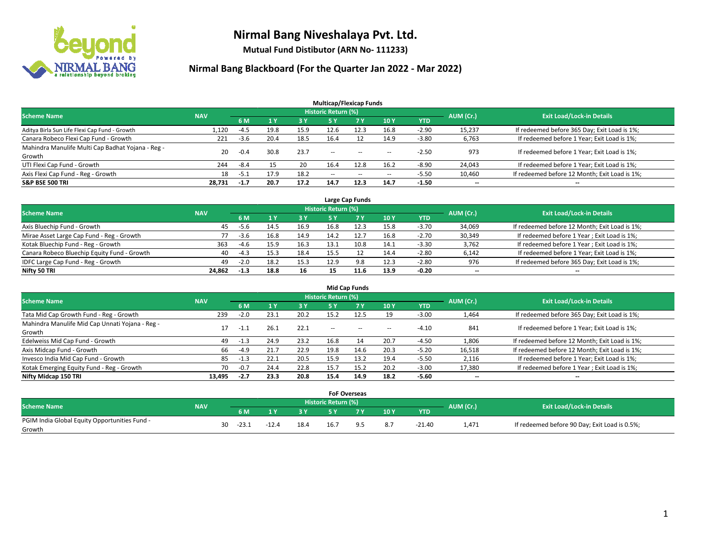

**Mutual Fund Distibutor (ARN No- 111233)**

|                                                   |            |        |      |           | <b>Multicap/Flexicap Funds</b> |           |                          |         |                          |                                               |
|---------------------------------------------------|------------|--------|------|-----------|--------------------------------|-----------|--------------------------|---------|--------------------------|-----------------------------------------------|
| <b>Scheme Name</b>                                | <b>NAV</b> |        |      |           | <b>Historic Return (%)</b>     |           |                          |         | AUM (Cr.)                | <b>Exit Load/Lock-in Details</b>              |
|                                                   |            | 6 M    |      | <b>3Y</b> | 5 Y                            | <b>7Y</b> | 10Y                      | YTD     |                          |                                               |
| Aditya Birla Sun Life Flexi Cap Fund - Growth     | 1,120      | $-4.5$ | 19.8 | 15.9      | 12.6                           | 12.3      | 16.8                     | $-2.90$ | 15,237                   | If redeemed before 365 Day; Exit Load is 1%;  |
| Canara Robeco Flexi Cap Fund - Growth             | 221        | $-3.6$ | 20.4 | 18.5      | 16.4                           |           | 14.9                     | $-3.80$ | 6,763                    | If redeemed before 1 Year; Exit Load is 1%;   |
| Mahindra Manulife Multi Cap Badhat Yojana - Reg - | 20         | $-0.4$ | 30.8 | 23.7      |                                |           |                          | $-2.50$ | 973                      | If redeemed before 1 Year; Exit Load is 1%;   |
| Growth                                            |            |        |      |           | $\sim$ $\sim$                  | $-$       | --                       |         |                          |                                               |
| UTI Flexi Cap Fund - Growth                       | 244        | $-8.4$ |      | 20        | 16.4                           | 12.8      | 16.2                     | $-8.90$ | 24,043                   | If redeemed before 1 Year; Exit Load is 1%;   |
| Axis Flexi Cap Fund - Reg - Growth                | 18         | -5.1   | 17.9 | 18.2      | $\overline{\phantom{a}}$       | $\sim$    | $\overline{\phantom{a}}$ | $-5.50$ | 10,460                   | If redeemed before 12 Month; Exit Load is 1%; |
| <b>S&amp;P BSE 500 TRI</b>                        | 28.731     | $-1.7$ | 20.7 | 17.2      | 14.7                           | 12.3      | 14.7                     | $-1.50$ | $\overline{\phantom{a}}$ | $\overline{\phantom{a}}$                      |

| Large Cap Funds                             |            |        |      |      |                            |      |      |            |           |                                               |  |  |  |
|---------------------------------------------|------------|--------|------|------|----------------------------|------|------|------------|-----------|-----------------------------------------------|--|--|--|
| <b>Scheme Name</b>                          | <b>NAV</b> |        |      |      | <b>Historic Return (%)</b> |      |      |            | AUM (Cr.) | <b>Exit Load/Lock-in Details</b>              |  |  |  |
|                                             |            | 6 M    |      | 3 Y  |                            |      | 10Y  | <b>YTD</b> |           |                                               |  |  |  |
| Axis Bluechip Fund - Growth                 | 45         | -5.6   | 14.5 | 16.9 | 16.8                       | 12.3 | 15.8 | $-3.70$    | 34,069    | If redeemed before 12 Month; Exit Load is 1%; |  |  |  |
| Mirae Asset Large Cap Fund - Reg - Growth   |            | $-3.6$ | 16.8 | 14.9 | 14.2                       |      | 16.8 | $-2.70$    | 30,349    | If redeemed before 1 Year; Exit Load is 1%;   |  |  |  |
| Kotak Bluechip Fund - Reg - Growth          | 363        | $-4.6$ | 15.9 | 16.3 | 13.1                       | 10.8 | 14.1 | $-3.30$    | 3,762     | If redeemed before 1 Year; Exit Load is 1%;   |  |  |  |
| Canara Robeco Bluechip Equity Fund - Growth | 40         | $-4.3$ | 15.3 | 18.4 | 15.5                       |      | 14.4 | $-2.80$    | 6,142     | If redeemed before 1 Year; Exit Load is 1%;   |  |  |  |
| IDFC Large Cap Fund - Reg - Growth          | 49         | $-2.0$ | 18.2 | 15.3 | 12.9                       | 9.8  | 12.3 | $-2.80$    | 976       | If redeemed before 365 Day; Exit Load is 1%;  |  |  |  |
| Nifty 50 TRI                                | 24.862     | -1.3   | 18.8 | 16   | 15                         | 11.6 | 13.9 | $-0.20$    | $- -$     | $\overline{\phantom{a}}$                      |  |  |  |

| <b>Mid Cap Funds</b>                                      |            |        |      |      |                     |           |      |            |                          |                                               |  |  |  |
|-----------------------------------------------------------|------------|--------|------|------|---------------------|-----------|------|------------|--------------------------|-----------------------------------------------|--|--|--|
| <b>Scheme Name</b>                                        | <b>NAV</b> |        |      |      | Historic Return (%) |           |      |            | AUM (Cr.)                | <b>Exit Load/Lock-in Details</b>              |  |  |  |
|                                                           |            | 6 M    |      | 3 Y  | 5 Y                 | <b>7Y</b> | 10Y  | <b>YTD</b> |                          |                                               |  |  |  |
| Tata Mid Cap Growth Fund - Reg - Growth                   | 239        | $-2.0$ | 23.1 | 20.2 | 15.2                | 12.5      | 19   | $-3.00$    | 1,464                    | If redeemed before 365 Day; Exit Load is 1%;  |  |  |  |
| Mahindra Manulife Mid Cap Unnati Yojana - Reg -<br>Growth | 17         | $-1.1$ | 26.1 | 22.1 | $\sim$ $\sim$       | $\sim$    | $-$  | $-4.10$    | 841                      | If redeemed before 1 Year; Exit Load is 1%;   |  |  |  |
| Edelweiss Mid Cap Fund - Growth                           | 49         | $-1.3$ | 24.9 | 23.2 | 16.8                | 14        | 20.7 | $-4.50$    | 1,806                    | If redeemed before 12 Month; Exit Load is 1%; |  |  |  |
| Axis Midcap Fund - Growth                                 | 66         | $-4.9$ | 21.7 | 22.9 | 19.8                | 14.6      | 20.3 | $-5.20$    | 16,518                   | If redeemed before 12 Month; Exit Load is 1%; |  |  |  |
| Invesco India Mid Cap Fund - Growth                       | 85         | $-1.3$ | 22.1 | 20.5 | 15.9                | 13.2      | 19.4 | $-5.50$    | 2,116                    | If redeemed before 1 Year; Exit Load is 1%;   |  |  |  |
| Kotak Emerging Equity Fund - Reg - Growth                 | 70         | $-0.7$ | 24.4 | 22.8 | 15.7                | 15.2      | 20.2 | $-3.00$    | 17,380                   | If redeemed before 1 Year; Exit Load is 1%;   |  |  |  |
| Nifty Midcap 150 TRI                                      | 13.495     | -2.7   | 23.3 | 20.8 | 15.4                | 14.9      | 18.2 | $-5.60$    | $\overline{\phantom{a}}$ | $-$                                           |  |  |  |

|                                               |            |    |         |         |      | <b>FoF Overseas</b> |     |     |          |           |                                               |
|-----------------------------------------------|------------|----|---------|---------|------|---------------------|-----|-----|----------|-----------|-----------------------------------------------|
| <b>Scheme Name</b>                            | <b>NAV</b> |    |         |         |      | Historic Return (%) |     |     |          | AUM (Cr.) | <b>Exit Load/Lock-in Details</b>              |
|                                               |            |    | 6 M     | ıν      | 2V   |                     | 7 V | 10Y | YTD      |           |                                               |
| PGIM India Global Equity Opportunities Fund - |            | 30 | $-23.1$ | $-12.4$ | 18.4 | 16.7                |     |     | $-21.40$ |           | If redeemed before 90 Day; Exit Load is 0.5%; |
| Growth                                        |            |    |         |         |      |                     |     | 8.7 |          | 1,471     |                                               |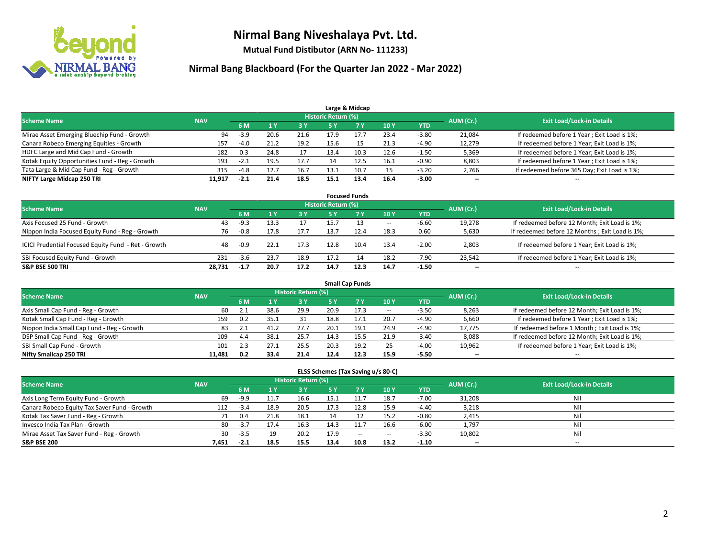

**Mutual Fund Distibutor (ARN No- 111233)**

| Large & Midcap                                 |                                 |        |      |      |                     |            |      |         |           |                                              |  |  |  |
|------------------------------------------------|---------------------------------|--------|------|------|---------------------|------------|------|---------|-----------|----------------------------------------------|--|--|--|
| <b>Scheme Name</b>                             |                                 |        |      |      | Historic Return (%) |            |      |         | AUM (Cr.) | <b>Exit Load/Lock-in Details</b>             |  |  |  |
|                                                | <b>NAV</b><br>6 M<br>3 Y<br>5 ۷ |        |      |      | 10Y                 | <b>YTD</b> |      |         |           |                                              |  |  |  |
| Mirae Asset Emerging Bluechip Fund - Growth    | 94                              | $-3.9$ | 20.6 | 21.6 | 17.9                | 17.7       | 23.4 | $-3.80$ | 21,084    | If redeemed before 1 Year; Exit Load is 1%;  |  |  |  |
| Canara Robeco Emerging Equities - Growth       | 157                             | $-4.0$ | 21.2 | 19.2 | 15.6                |            | 21.3 | -4.90   | 12,279    | If redeemed before 1 Year; Exit Load is 1%;  |  |  |  |
| HDFC Large and Mid Cap Fund - Growth           | 182                             | 0.3    | 24.8 | 17   | 13.4                |            | 12.6 | $-1.50$ | 5,369     | If redeemed before 1 Year; Exit Load is 1%;  |  |  |  |
| Kotak Equity Opportunities Fund - Reg - Growth | 193                             | $-2.1$ |      | 17.7 |                     |            | 16.1 | $-0.90$ | 8,803     | If redeemed before 1 Year; Exit Load is 1%;  |  |  |  |
| Tata Large & Mid Cap Fund - Reg - Growth       | 315                             | -4.8   | 12.7 | 16.7 | 13.1                | 10.7       | 15   | $-3.20$ | 2,766     | If redeemed before 365 Day; Exit Load is 1%; |  |  |  |
| NIFTY Large Midcap 250 TRI                     | 11.917                          | $-2.1$ | 21.4 | 18.5 | 15.1                | 13.4       | 16.4 | $-3.00$ | $- -$     | $- -$                                        |  |  |  |

| <b>Focused Funds</b>                                |            |        |      |      |                            |            |        |            |           |                                                 |  |  |  |
|-----------------------------------------------------|------------|--------|------|------|----------------------------|------------|--------|------------|-----------|-------------------------------------------------|--|--|--|
| <b>Scheme Name</b>                                  | <b>NAV</b> |        |      |      | <b>Historic Return (%)</b> |            |        |            | AUM (Cr.) | <b>Exit Load/Lock-in Details</b>                |  |  |  |
|                                                     |            | 6 M    |      | 3 Y  |                            | <b>7 Y</b> | 10Y    | <b>YTD</b> |           |                                                 |  |  |  |
| Axis Focused 25 Fund - Growth                       | 43         | -9.3   |      |      | 15.7                       |            | $\sim$ | $-6.60$    | 19,278    | If redeemed before 12 Month; Exit Load is 1%;   |  |  |  |
| Nippon India Focused Equity Fund - Reg - Growth     | 76         | $-0.8$ | 17.8 | 17.7 | 13.7                       |            | 18.3   | 0.60       | 5,630     | If redeemed before 12 Months ; Exit Load is 1%; |  |  |  |
| ICICI Prudential Focused Equity Fund - Ret - Growth | 48         | $-0.9$ | 22.1 | 17.3 | 12.8                       | 10.4       | 13.4   | $-2.00$    | 2,803     | If redeemed before 1 Year; Exit Load is 1%;     |  |  |  |
| SBI Focused Equity Fund - Growth                    | 231        | $-3.6$ | 23.7 | 18.9 | 17.2                       |            | 18.2   | $-7.90$    | 23.542    | If redeemed before 1 Year; Exit Load is 1%;     |  |  |  |
| <b>S&amp;P BSE 500 TRI</b>                          | 28.731     | $-1.7$ | 20.7 | 17.2 | 14.7                       | 12.3       | 14.7   | $-1.50$    | $- -$     | $\overline{\phantom{a}}$                        |  |  |  |

|                                            | <b>Small Cap Funds</b> |     |      |                            |      |      |        |            |           |                                               |  |  |  |  |
|--------------------------------------------|------------------------|-----|------|----------------------------|------|------|--------|------------|-----------|-----------------------------------------------|--|--|--|--|
| <b>Scheme Name</b>                         | <b>NAV</b>             |     |      | <b>Historic Return (%)</b> |      |      |        |            | AUM (Cr.) | <b>Exit Load/Lock-in Details</b>              |  |  |  |  |
|                                            |                        | 6 M |      | 3 Y                        | 5 Y  |      | 10 Y   | <b>YTD</b> |           |                                               |  |  |  |  |
| Axis Small Cap Fund - Reg - Growth         | 60                     | 2.1 | 38.6 | 29.9                       | 20.9 | 17.3 | $\sim$ | $-3.50$    | 8,263     | If redeemed before 12 Month; Exit Load is 1%; |  |  |  |  |
| Kotak Small Cap Fund - Reg - Growth        | 159                    | 0.2 | 35.1 | 31                         | 18.8 |      | 20.7   | $-4.90$    | 6,660     | If redeemed before 1 Year; Exit Load is 1%;   |  |  |  |  |
| Nippon India Small Cap Fund - Reg - Growth | 83                     | 2.1 | 41.2 | 27.7                       | 20.1 |      | 24.9   | $-4.90$    | 17,775    | If redeemed before 1 Month; Exit Load is 1%;  |  |  |  |  |
| DSP Small Cap Fund - Reg - Growth          | 109                    | 4.4 | 38.1 | 25.7                       | 14.3 |      | 21.9   | $-3.40$    | 8,088     | If redeemed before 12 Month; Exit Load is 1%; |  |  |  |  |
| SBI Small Cap Fund - Growth                | 101                    | 2.3 | 27.1 | 25.5                       | 20.3 | 19.2 | 25     | $-4.00$    | 10,962    | If redeemed before 1 Year; Exit Load is 1%;   |  |  |  |  |
| Nifty Smallcap 250 TRI                     | 11.481                 | 0.2 | 33.4 | 21.4                       | 12.4 | 12.3 | 15.9   | $-5.50$    | $- -$     | $- -$                                         |  |  |  |  |

| ELSS Schemes (Tax Saving u/s 80-C)           |            |        |      |                            |      |        |        |            |                          |                                  |  |  |  |
|----------------------------------------------|------------|--------|------|----------------------------|------|--------|--------|------------|--------------------------|----------------------------------|--|--|--|
| <b>Scheme Name</b>                           | <b>NAV</b> |        |      | <b>Historic Return (%)</b> |      |        |        |            | AUM (Cr.)                | <b>Exit Load/Lock-in Details</b> |  |  |  |
|                                              |            | 6 M    |      | 3 Y                        |      |        | 10Y    | <b>YTD</b> |                          |                                  |  |  |  |
| Axis Long Term Equity Fund - Growth          | 69         | -9.9   | 11.7 | 16.6                       | 15.1 |        | 18.7   | $-7.00$    | 31,208                   | Nil                              |  |  |  |
| Canara Robeco Equity Tax Saver Fund - Growth | 112        | -3.4   | 18.9 | 20.5                       | 17.3 | 12.8   | 15.9   | -4.40      | 3,218                    | Nil                              |  |  |  |
| Kotak Tax Saver Fund - Reg - Growth          |            | 0.4    | 21.8 | 18.1                       | 14   |        | 15.2   | $-0.80$    | 2,415                    | Nil                              |  |  |  |
| Invesco India Tax Plan - Growth              | 80         | $-3.7$ |      | 16.3                       | 14.3 |        | 16.6   | $-6.00$    | 1,797                    | Nil                              |  |  |  |
| Mirae Asset Tax Saver Fund - Reg - Growth    | 30         | $-3.5$ | 19   | 20.2                       | 17.9 | $\sim$ | $\sim$ | $-3.30$    | 10,802                   | Nil                              |  |  |  |
| <b>S&amp;P BSE 200</b>                       | 7,451      | $-2.1$ | 18.5 | 15.5                       | 13.4 | 10.8   | 13.2   | $-1.10$    | $\overline{\phantom{a}}$ | $\overline{\phantom{a}}$         |  |  |  |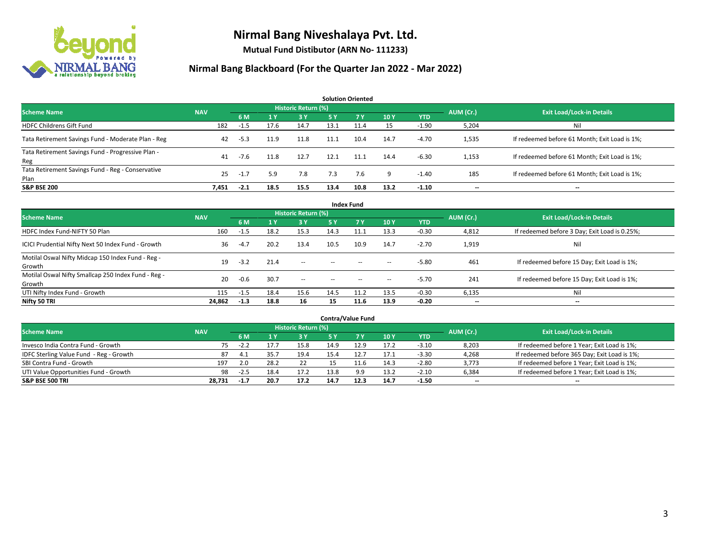

**Mutual Fund Distibutor (ARN No- 111233)**

| <b>Solution Oriented</b>                                  |            |        |                |                     |           |           |      |            |           |                                               |  |  |  |
|-----------------------------------------------------------|------------|--------|----------------|---------------------|-----------|-----------|------|------------|-----------|-----------------------------------------------|--|--|--|
| <b>Scheme Name</b>                                        | <b>NAV</b> |        |                | Historic Return (%) |           |           |      |            | AUM (Cr.) | <b>Exit Load/Lock-in Details</b>              |  |  |  |
|                                                           |            | 6 M    | 1 <sup>Y</sup> | 3 Y                 | <b>5Y</b> | <b>7Y</b> | 10Y  | <b>YTD</b> |           |                                               |  |  |  |
| <b>HDFC Childrens Gift Fund</b>                           | 182        | $-1.5$ | 17.6           | 14.7                | 13.1      | 11.4      | 15   | $-1.90$    | 5,204     | Nil                                           |  |  |  |
| Tata Retirement Savings Fund - Moderate Plan - Reg        | 42         | $-5.3$ | 11.9           | 11.8                | 11.1      | 10.4      | 14.7 | $-4.70$    | 1,535     | If redeemed before 61 Month; Exit Load is 1%; |  |  |  |
| Tata Retirement Savings Fund - Progressive Plan -<br>Reg  | 41         | $-7.6$ | 11.8           | 12.7                | 12.1      | 11.1      | 14.4 | $-6.30$    | 1,153     | If redeemed before 61 Month; Exit Load is 1%; |  |  |  |
| Tata Retirement Savings Fund - Reg - Conservative<br>Plan | 25         | $-1.7$ | 5.9            | 7.8                 | 7.3       | 7.6       | 9    | $-1.40$    | 185       | If redeemed before 61 Month; Exit Load is 1%; |  |  |  |
| <b>S&amp;P BSE 200</b>                                    | 7,451      | $-2.1$ | 18.5           | 15.5                | 13.4      | 10.8      | 13.2 | $-1.10$    | --        | --                                            |  |  |  |

| <b>Index Fund</b>                                             |            |        |                |                            |        |                |                          |            |                          |                                               |  |  |  |  |
|---------------------------------------------------------------|------------|--------|----------------|----------------------------|--------|----------------|--------------------------|------------|--------------------------|-----------------------------------------------|--|--|--|--|
| <b>Scheme Name</b>                                            | <b>NAV</b> |        |                | <b>Historic Return (%)</b> |        |                |                          |            | AUM (Cr.)                | <b>Exit Load/Lock-in Details</b>              |  |  |  |  |
|                                                               |            | 6 M    | 1 <sub>Y</sub> | 3 Y                        | 5 Y    | 7 <sub>V</sub> | 10Y                      | <b>YTD</b> |                          |                                               |  |  |  |  |
| HDFC Index Fund-NIFTY 50 Plan                                 | 160        | $-1.5$ | 18.2           | 15.3                       | 14.3   | 11.1           | 13.3                     | $-0.30$    | 4,812                    | If redeemed before 3 Day; Exit Load is 0.25%; |  |  |  |  |
| ICICI Prudential Nifty Next 50 Index Fund - Growth            | 36         | $-4.7$ | 20.2           | 13.4                       | 10.5   | 10.9           | 14.7                     | $-2.70$    | 1,919                    | Nil                                           |  |  |  |  |
| Motilal Oswal Nifty Midcap 150 Index Fund - Reg -<br>Growth   | 19         | $-3.2$ | 21.4           | $\sim$                     | $\sim$ | $\sim$         | $\overline{\phantom{a}}$ | $-5.80$    | 461                      | If redeemed before 15 Day; Exit Load is 1%;   |  |  |  |  |
| Motilal Oswal Nifty Smallcap 250 Index Fund - Reg -<br>Growth | 20         | $-0.6$ | 30.7           | $\sim$                     | $-$    |                | $\overline{\phantom{a}}$ | $-5.70$    | 241                      | If redeemed before 15 Day; Exit Load is 1%;   |  |  |  |  |
| UTI Nifty Index Fund - Growth                                 | 115        | $-1.5$ | 18.4           | 15.6                       | 14.5   | 11.2           | 13.5                     | $-0.30$    | 6,135                    | Nil                                           |  |  |  |  |
| Nifty 50 TRI                                                  | 24,862     | $-1.3$ | 18.8           | 16                         | 15     | 11.6           | 13.9                     | $-0.20$    | $\overline{\phantom{a}}$ | $\overline{\phantom{a}}$                      |  |  |  |  |

| <b>Contra/Value Fund</b>                |            |        |      |                            |      |      |      |         |           |                                              |  |  |  |
|-----------------------------------------|------------|--------|------|----------------------------|------|------|------|---------|-----------|----------------------------------------------|--|--|--|
| <b>Scheme Name</b>                      | <b>NAV</b> |        |      | <b>Historic Return (%)</b> |      |      |      |         | AUM (Cr.) | <b>Exit Load/Lock-in Details</b>             |  |  |  |
|                                         |            | 6 M    |      | 73 Y                       |      | 7 Y  | 10Y  | YTD     |           |                                              |  |  |  |
| Invesco India Contra Fund - Growth      | 75.        | $-2.4$ |      | 15.8                       | 14.9 | 12.9 | 17.2 | $-3.10$ | 8,203     | If redeemed before 1 Year; Exit Load is 1%;  |  |  |  |
| IDFC Sterling Value Fund - Reg - Growth | 87         | 4.1    | 35.7 | 19.4                       |      |      | 17.1 | $-3.30$ | 4,268     | If redeemed before 365 Day; Exit Load is 1%; |  |  |  |
| SBI Contra Fund - Growth                | 197        | 2.0    | 28.2 | 22                         |      |      | 14.3 | $-2.80$ | 3,773     | If redeemed before 1 Year; Exit Load is 1%;  |  |  |  |
| UTI Value Opportunities Fund - Growth   | 98         | $-2.5$ | 18.4 | 17.2                       | 13.8 | 9.9  | 13.2 | $-2.10$ | 6,384     | If redeemed before 1 Year; Exit Load is 1%;  |  |  |  |
| <b>S&amp;P BSE 500 TRI</b>              | 28,731     | $-1.7$ | 20.7 | 17.2                       | 14.7 | 12.3 | 14.7 | $-1.50$ | $-$       | $- -$                                        |  |  |  |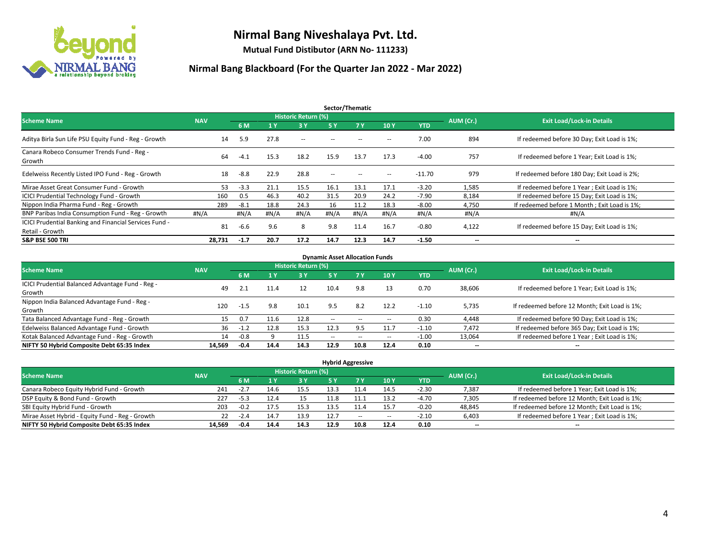

**Mutual Fund Distibutor (ARN No- 111233)**

| Sector/Thematic                                                           |            |        |      |                     |                          |      |      |            |                          |                                              |  |  |
|---------------------------------------------------------------------------|------------|--------|------|---------------------|--------------------------|------|------|------------|--------------------------|----------------------------------------------|--|--|
| <b>Scheme Name</b>                                                        | <b>NAV</b> |        |      | Historic Return (%) |                          |      |      |            | AUM (Cr.)                | <b>Exit Load/Lock-in Details</b>             |  |  |
|                                                                           |            | 6 M    | 1Y   | 3 Y                 | <b>5Y</b>                | 7Y   | 10Y  | <b>YTD</b> |                          |                                              |  |  |
| Aditya Birla Sun Life PSU Equity Fund - Reg - Growth                      | 14         | 5.9    | 27.8 | $\sim$ $-$          |                          |      | -    | 7.00       | 894                      | If redeemed before 30 Day; Exit Load is 1%;  |  |  |
| Canara Robeco Consumer Trends Fund - Reg -<br>Growth                      | 64         | $-4.1$ | 15.3 | 18.2                | 15.9                     | 13.7 | 17.3 | $-4.00$    | 757                      | If redeemed before 1 Year: Exit Load is 1%:  |  |  |
| Edelweiss Recently Listed IPO Fund - Reg - Growth                         | 18         | $-8.8$ | 22.9 | 28.8                | $\overline{\phantom{a}}$ |      | --   | $-11.70$   | 979                      | If redeemed before 180 Day; Exit Load is 2%; |  |  |
| Mirae Asset Great Consumer Fund - Growth                                  | 53         | $-3.3$ | 21.1 | 15.5                | 16.1                     | 13.1 | 17.1 | $-3.20$    | 1,585                    | If redeemed before 1 Year; Exit Load is 1%;  |  |  |
| <b>ICICI Prudential Technology Fund - Growth</b>                          | 160        | 0.5    | 46.3 | 40.2                | 31.5                     | 20.9 | 24.2 | $-7.90$    | 8,184                    | If redeemed before 15 Day; Exit Load is 1%;  |  |  |
| Nippon India Pharma Fund - Reg - Growth                                   | 289        | $-8.1$ | 18.8 | 24.3                | 16                       | 11.2 | 18.3 | $-8.00$    | 4,750                    | If redeemed before 1 Month; Exit Load is 1%; |  |  |
| BNP Paribas India Consumption Fund - Reg - Growth                         | #N/A       | #N/A   | #N/A | #N/A                | #N/A                     | #N/A | #N/A | #N/A       | #N/A                     | #N/A                                         |  |  |
| ICICI Prudential Banking and Financial Services Fund -<br>Retail - Growth | 81         | $-6.6$ | 9.6  | 8                   | 9.8                      | 11.4 | 16.7 | $-0.80$    | 4,122                    | If redeemed before 15 Day; Exit Load is 1%;  |  |  |
| <b>S&amp;P BSE 500 TRI</b>                                                | 28,731     | $-1.7$ | 20.7 | 17.2                | 14.7                     | 12.3 | 14.7 | $-1.50$    | $\overline{\phantom{a}}$ | $\overline{\phantom{a}}$                     |  |  |

| <b>Dynamic Asset Allocation Funds</b>            |            |        |      |                     |                          |                          |                          |            |           |                                               |  |  |  |
|--------------------------------------------------|------------|--------|------|---------------------|--------------------------|--------------------------|--------------------------|------------|-----------|-----------------------------------------------|--|--|--|
| <b>Scheme Name</b>                               | <b>NAV</b> |        |      | Historic Return (%) |                          |                          |                          |            | AUM (Cr.) | <b>Exit Load/Lock-in Details</b>              |  |  |  |
|                                                  |            | 6 M    |      | $-3Y$               | <b>5 Y</b>               | 7 <sub>V</sub>           | 10Y                      | <b>YTD</b> |           |                                               |  |  |  |
| ICICI Prudential Balanced Advantage Fund - Reg - |            |        |      | 12                  | 10.4                     |                          |                          |            |           |                                               |  |  |  |
| Growth                                           | 49         | 2.1    | 11.4 |                     |                          | 9.8                      | 13                       | 0.70       | 38,606    | If redeemed before 1 Year; Exit Load is 1%;   |  |  |  |
| Nippon India Balanced Advantage Fund - Reg -     |            |        |      | 10.1                | 9.5                      |                          |                          |            |           |                                               |  |  |  |
| Growth                                           | 120        | -1.5   | 9.8  |                     |                          | 8.2                      | 12.2                     | $-1.10$    | 5,735     | If redeemed before 12 Month; Exit Load is 1%; |  |  |  |
| Tata Balanced Advantage Fund - Reg - Growth      | 15         | 0.7    | 11.6 | 12.8                | $\sim$                   |                          | $\overline{\phantom{a}}$ | 0.30       | 4.448     | If redeemed before 90 Day; Exit Load is 1%;   |  |  |  |
| Edelweiss Balanced Advantage Fund - Growth       | 36         | $-1.2$ | 12.8 | 15.3                | 12.3                     | 9.5                      | 11.7                     | $-1.10$    | 7,472     | If redeemed before 365 Day; Exit Load is 1%;  |  |  |  |
| Kotak Balanced Advantage Fund - Reg - Growth     | 14         | $-0.8$ |      | 11.5                | $\overline{\phantom{a}}$ | $\overline{\phantom{a}}$ | $\overline{\phantom{a}}$ | $-1.00$    | 13,064    | If redeemed before 1 Year; Exit Load is 1%;   |  |  |  |
| NIFTY 50 Hybrid Composite Debt 65:35 Index       | 14.569     | $-0.4$ | 14.4 | 14.3                | 12.9                     | 10.8                     | 12.4                     | 0.10       | $- -$     | $\overline{\phantom{a}}$                      |  |  |  |

| <b>Hybrid Aggressive</b>                        |            |        |      |                     |      |       |                          |            |           |                                               |  |  |  |
|-------------------------------------------------|------------|--------|------|---------------------|------|-------|--------------------------|------------|-----------|-----------------------------------------------|--|--|--|
| <b>Scheme Name</b>                              | <b>NAV</b> |        |      | Historic Return (%) |      |       |                          |            | AUM (Cr.) | <b>Exit Load/Lock-in Details</b>              |  |  |  |
|                                                 |            | 6 M    |      | <b>3Y</b>           | 5 Y  |       | 10Y                      | <b>YTD</b> |           |                                               |  |  |  |
| Canara Robeco Equity Hybrid Fund - Growth       | 241        | $-2.7$ | 14.6 | 15.5                | 13.3 |       | 14.5                     | $-2.30$    | 7,387     | If redeemed before 1 Year; Exit Load is 1%;   |  |  |  |
| DSP Equity & Bond Fund - Growth                 | 227        | $-5.3$ | 12.4 | 15                  | 11.8 |       | 13.2                     | $-4.70$    | 7,305     | If redeemed before 12 Month; Exit Load is 1%; |  |  |  |
| SBI Equity Hybrid Fund - Growth                 | 203        | $-0.2$ | 17.5 | 15.3                | 13.5 |       | 15.7                     | $-0.20$    | 48,845    | If redeemed before 12 Month; Exit Load is 1%; |  |  |  |
| Mirae Asset Hybrid - Equity Fund - Reg - Growth | 22         | $-2.4$ | 14.7 | 13.9                | 12.7 | $- -$ | $\overline{\phantom{a}}$ | $-2.10$    | 6,403     | If redeemed before 1 Year; Exit Load is 1%;   |  |  |  |
| NIFTY 50 Hybrid Composite Debt 65:35 Index      | 14.569     | -0.4   | 14.4 | 14.3                | 12.9 | 10.8  | 12.4                     | 0.10       | $- -$     | --                                            |  |  |  |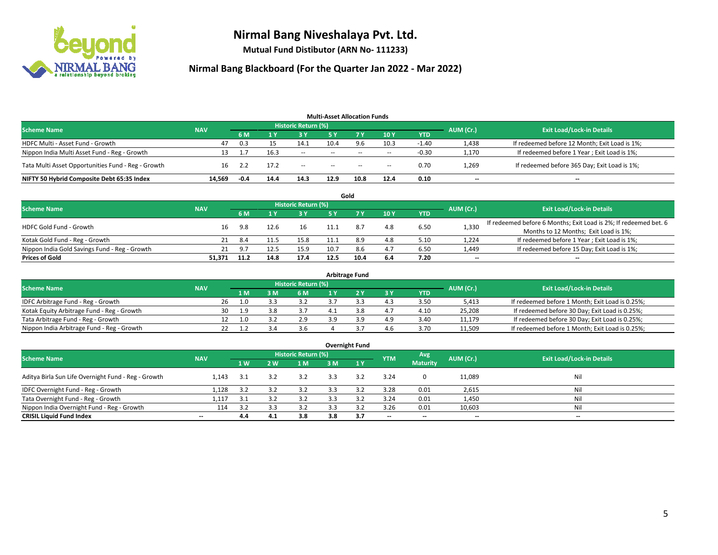

**Mutual Fund Distibutor (ARN No- 111233)**

| <b>Multi-Asset Allocation Funds</b>                |            |        |      |                            |               |      |                          |            |                          |                                               |  |  |  |
|----------------------------------------------------|------------|--------|------|----------------------------|---------------|------|--------------------------|------------|--------------------------|-----------------------------------------------|--|--|--|
| <b>Scheme Name</b>                                 | <b>NAV</b> |        |      | <b>Historic Return (%)</b> |               |      |                          |            | AUM (Cr.)                | <b>Exit Load/Lock-in Details</b>              |  |  |  |
|                                                    |            | 6 M    |      | <b>3 Y</b>                 | 5 Y           | 7 Y. | 10Y                      | <b>YTD</b> |                          |                                               |  |  |  |
| HDFC Multi - Asset Fund - Growth                   | 47         | 0.3    |      | 14.1                       | 10.4          | 9.6  | 10.3                     | $-1.40$    | 1,438                    | If redeemed before 12 Month; Exit Load is 1%; |  |  |  |
| Nippon India Multi Asset Fund - Reg - Growth       | 13         |        | 16.3 | $\sim$                     | $\sim$ $\sim$ | $-$  | $\sim$                   | $-0.30$    | 1,170                    | If redeemed before 1 Year; Exit Load is 1%;   |  |  |  |
| Tata Multi Asset Opportunities Fund - Reg - Growth | 16         | 2.2    | 17.2 | $\sim$                     | $\sim$        | $-$  | $\overline{\phantom{a}}$ | 0.70       | 1,269                    | If redeemed before 365 Day; Exit Load is 1%;  |  |  |  |
| NIFTY 50 Hybrid Composite Debt 65:35 Index         | 14.569     | $-0.4$ | 14.4 | 14.3                       | 12.9          | 10.8 | 12.4                     | 0.10       | $\overline{\phantom{a}}$ | --                                            |  |  |  |

|                                               |            |      |      |                            |      | Gold |     |            |           |                                                                  |
|-----------------------------------------------|------------|------|------|----------------------------|------|------|-----|------------|-----------|------------------------------------------------------------------|
| <b>Scheme Name</b>                            | <b>NAV</b> |      |      | <b>Historic Return (%)</b> |      |      |     |            | AUM (Cr.) | <b>Exit Load/Lock-in Details</b>                                 |
|                                               |            | 6 M  |      | 3 Y                        | ς γ  |      | 10Y | <b>YTD</b> |           |                                                                  |
| <b>HDFC Gold Fund - Growth</b>                | 16         | 9.8  |      | 16                         |      | 8.7  | 4.8 | 6.50       | 1,330     | If redeemed before 6 Months; Exit Load is 2%; If redeemed bet. 6 |
|                                               |            |      |      |                            |      |      |     |            |           | Months to 12 Months; Exit Load is 1%;                            |
| Kotak Gold Fund - Reg - Growth                | 21         | 8.4  |      | 15.8                       |      | 8.9  | 4.8 | 5.10       | 1,224     | If redeemed before 1 Year; Exit Load is 1%;                      |
| Nippon India Gold Savings Fund - Reg - Growth | 21         | 9.7  |      | 15.9                       | 10.7 | 8.6  | 4.7 | 6.50       | 1,449     | If redeemed before 15 Day; Exit Load is 1%;                      |
| <b>Prices of Gold</b>                         | 51.371     | 11.2 | 14.8 | 17.4                       | 12.5 | 10.4 | 6.4 | 7.20       | $- -$     | $\overline{\phantom{a}}$                                         |

| <b>Arbitrage Fund</b>                      |            |           |                                  |     |     |  |  |     |            |        |                                                 |  |  |
|--------------------------------------------|------------|-----------|----------------------------------|-----|-----|--|--|-----|------------|--------|-------------------------------------------------|--|--|
| <b>Scheme Name</b>                         | <b>NAV</b> | AUM (Cr.) | <b>Exit Load/Lock-in Details</b> |     |     |  |  |     |            |        |                                                 |  |  |
|                                            |            |           | 1 M                              | : M | 6 M |  |  | 3Y  | <b>YTD</b> |        |                                                 |  |  |
| IDFC Arbitrage Fund - Reg - Growth         |            | 26        |                                  |     | 3.2 |  |  | 4.3 | 3.50       | 5,413  | If redeemed before 1 Month; Exit Load is 0.25%; |  |  |
| Kotak Equity Arbitrage Fund - Reg - Growth |            | 30        | -1.9                             |     | 3.7 |  |  | 4.7 | 4.10       | 25,208 | If redeemed before 30 Day; Exit Load is 0.25%;  |  |  |
| Tata Arbitrage Fund - Reg - Growth         |            |           |                                  |     | 2.9 |  |  | 4.9 | 3.40       | 11.179 | If redeemed before 30 Day; Exit Load is 0.25%;  |  |  |
| Nippon India Arbitrage Fund - Reg - Growth |            |           |                                  |     | 3.6 |  |  | 4.6 | 3.70       | 11,509 | If redeemed before 1 Month; Exit Load is 0.25%; |  |  |

|                                                     |                          |     |     |                            |     | <b>Overnight Fund</b> |                          |                 |                          |                                  |
|-----------------------------------------------------|--------------------------|-----|-----|----------------------------|-----|-----------------------|--------------------------|-----------------|--------------------------|----------------------------------|
| <b>Scheme Name</b>                                  | <b>NAV</b>               |     |     | <b>Historic Return (%)</b> |     |                       | <b>YTM</b>               | Avg             | AUM (Cr.)                | <b>Exit Load/Lock-in Details</b> |
|                                                     |                          | 1W  | 2 W | 1 M                        | 3 M | 1Y                    |                          | <b>Maturity</b> |                          |                                  |
| Aditya Birla Sun Life Overnight Fund - Reg - Growth | 1.143                    | 3.1 | 3.2 | 3.2                        | 3.3 | 3.2                   | 3.24                     | $\mathbf{0}$    | 11,089                   | Nil                              |
| IDFC Overnight Fund - Reg - Growth                  | 1,128                    | 3.2 | 3.2 | 3.2                        | 3.3 | 3.2                   | 3.28                     | 0.01            | 2,615                    | Nil                              |
| Tata Overnight Fund - Reg - Growth                  | 1,117                    | 3.1 |     | 3.2                        | 3.3 |                       | 3.24                     | 0.01            | 1,450                    | Nil                              |
| Nippon India Overnight Fund - Reg - Growth          | 114                      | 3.2 | 3.3 | 3.2                        |     |                       | 3.26                     | 0.01            | 10,603                   | Nil                              |
| <b>CRISIL Liquid Fund Index</b>                     | $\overline{\phantom{a}}$ | 4.4 | 4.1 | 3.8                        | 3.8 | 3.7                   | $\overline{\phantom{a}}$ | $- -$           | $\overline{\phantom{a}}$ | $-$                              |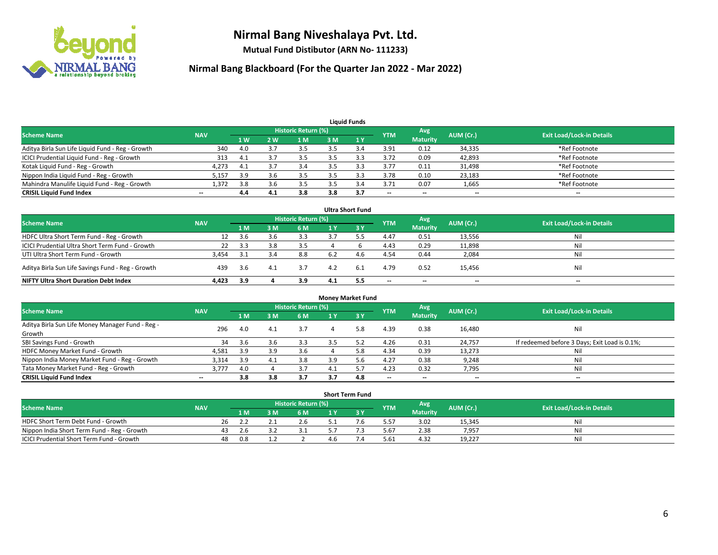

**Mutual Fund Distibutor (ARN No- 111233)**

| <b>Liquid Funds</b>                              |                          |                |     |                            |     |     |                          |                          |           |                                  |  |  |  |
|--------------------------------------------------|--------------------------|----------------|-----|----------------------------|-----|-----|--------------------------|--------------------------|-----------|----------------------------------|--|--|--|
| <b>Scheme Name</b>                               | <b>NAV</b>               |                |     | <b>Historic Return (%)</b> |     |     | <b>YTM</b>               | Avg                      | AUM (Cr.) | <b>Exit Load/Lock-in Details</b> |  |  |  |
|                                                  |                          | 1 <sub>W</sub> | 2 W | 1 M                        | 3 M |     |                          | <b>Maturity</b>          |           |                                  |  |  |  |
| Aditya Birla Sun Life Liquid Fund - Reg - Growth | 340                      | 4.0            |     | 3.5                        |     |     | 3.91                     | 0.12                     | 34,335    | *Ref Footnote                    |  |  |  |
| ICICI Prudential Liquid Fund - Reg - Growth      | 313                      | 4.1            |     | 3.5                        |     |     | 3.72                     | 0.09                     | 42,893    | *Ref Footnote                    |  |  |  |
| Kotak Liquid Fund - Reg - Growth                 | 4,273                    | 4.1            |     | 3.4                        |     |     | 3.77                     | 0.11                     | 31,498    | *Ref Footnote                    |  |  |  |
| Nippon India Liquid Fund - Reg - Growth          | 5,157                    | 3.9            |     | 3.5                        |     |     | 3.78                     | 0.10                     | 23,183    | *Ref Footnote                    |  |  |  |
| Mahindra Manulife Liquid Fund - Reg - Growth     | 1,372                    | 3.8            | 3.6 | 3.5                        |     | 3.4 | 3.71                     | 0.07                     | 1,665     | *Ref Footnote                    |  |  |  |
| <b>CRISIL Liquid Fund Index</b>                  | $\overline{\phantom{a}}$ | 4.4            | 4.1 | 3.8                        | 3.8 | 3.7 | $\overline{\phantom{a}}$ | $\overline{\phantom{a}}$ | $- -$     | $- -$                            |  |  |  |

| <b>Ultra Short Fund</b>                           |            |       |     |                            |     |      |            |                 |           |                                  |  |  |  |
|---------------------------------------------------|------------|-------|-----|----------------------------|-----|------|------------|-----------------|-----------|----------------------------------|--|--|--|
| <b>Scheme Name</b>                                | <b>NAV</b> |       |     | <b>Historic Return (%)</b> |     |      | <b>YTM</b> | Avg             | AUM (Cr.) | <b>Exit Load/Lock-in Details</b> |  |  |  |
|                                                   |            | 1 M   | 3 M | 6 M                        | 1 Y | 73 Y |            | <b>Maturity</b> |           |                                  |  |  |  |
| HDFC Ultra Short Term Fund - Reg - Growth         | 12         | 3.6   |     | 3.3                        |     |      | 4.47       | 0.51            | 13,556    | Nil                              |  |  |  |
| ICICI Prudential Ultra Short Term Fund - Growth   | 22         | 3.3   | 3.8 | 3.5                        |     |      | 4.43       | 0.29            | 11,898    | Nil                              |  |  |  |
| UTI Ultra Short Term Fund - Growth                | 3,454      | - 3.1 |     | 8.8                        | 6.2 | 4 h  | 4.54       | 0.44            | 2,084     | Nil                              |  |  |  |
| Aditya Birla Sun Life Savings Fund - Reg - Growth | 439        | 3.6   | 4.1 | 3.7                        | 4.2 | 6.1  | 4.79       | 0.52            | 15,456    | Nil                              |  |  |  |
| <b>NIFTY Ultra Short Duration Debt Index</b>      | 4,423      | 3.9   |     | 3.9                        | 4.1 | 5.5  | $-$        | $-$             | $- -$     | $-$                              |  |  |  |

| <b>Money Market Fund</b>                                   |            |       |     |                            |      |      |                          |                 |           |                                               |  |  |  |
|------------------------------------------------------------|------------|-------|-----|----------------------------|------|------|--------------------------|-----------------|-----------|-----------------------------------------------|--|--|--|
| <b>Scheme Name</b>                                         | <b>NAV</b> |       |     | <b>Historic Return (%)</b> |      |      | <b>YTM</b>               | Avg             | AUM (Cr.) | <b>Exit Load/Lock-in Details</b>              |  |  |  |
|                                                            |            | 1 M / | 3M  | 6 M                        |      | 3Y   |                          | <b>Maturity</b> |           |                                               |  |  |  |
| Aditya Birla Sun Life Money Manager Fund - Reg -<br>Growth | 296        | 4.0   | 4.1 | 3.7                        | 4    | 5.8  | 4.39                     | 0.38            | 16,480    | Nil                                           |  |  |  |
| SBI Savings Fund - Growth                                  | 34         | 3.6   |     | 3.3                        |      |      | 4.26                     | 0.31            | 24,757    | If redeemed before 3 Days; Exit Load is 0.1%; |  |  |  |
| HDFC Money Market Fund - Growth                            | 4,581      | 3.9   | 3.9 | 3.6                        |      | 5.8  | 4.34                     | 0.39            | 13,273    | Nil                                           |  |  |  |
| Nippon India Money Market Fund - Reg - Growth              | 3,314      | 3.9   | 4.1 | 3.8                        | 3.9  |      | 4.27                     | 0.38            | 9,248     | Nil                                           |  |  |  |
| Tata Money Market Fund - Reg - Growth                      | 3,777      | 4.0   |     | 3.7                        | -4.1 | 5.7  | 4.23                     | 0.32            | 7,795     | Nil                                           |  |  |  |
| <b>CRISIL Liquid Fund Index</b>                            | $-$        | 3.8   | 3.8 | 3.7                        | 3.7  | -4.8 | $\overline{\phantom{a}}$ | --              | $- -$     | $- -$                                         |  |  |  |

| <b>Short Term Fund</b>                      |            |     |     |  |                     |     |  |            |                 |           |                                  |  |  |  |
|---------------------------------------------|------------|-----|-----|--|---------------------|-----|--|------------|-----------------|-----------|----------------------------------|--|--|--|
| Scheme Name                                 | <b>NAV</b> |     |     |  | Historic Return (%) |     |  | <b>YTM</b> | Avg             | AUM (Cr.) | <b>Exit Load/Lock-in Details</b> |  |  |  |
|                                             |            |     | 1 M |  | 6 M                 |     |  |            | <b>Maturity</b> |           |                                  |  |  |  |
| HDFC Short Term Debt Fund - Growth          |            | 26  |     |  | 2.b                 |     |  | 5.57       | 3.02            | 15,345    | Nil                              |  |  |  |
| Nippon India Short Term Fund - Reg - Growth |            | 43. |     |  |                     |     |  | 5.67       | 2.38            | 7,957     | Nil                              |  |  |  |
| ICICI Prudential Short Term Fund - Growth   |            | 48  | 0.8 |  |                     | 4.b |  | 5.61       | 4.32            | 19,227    | Nil                              |  |  |  |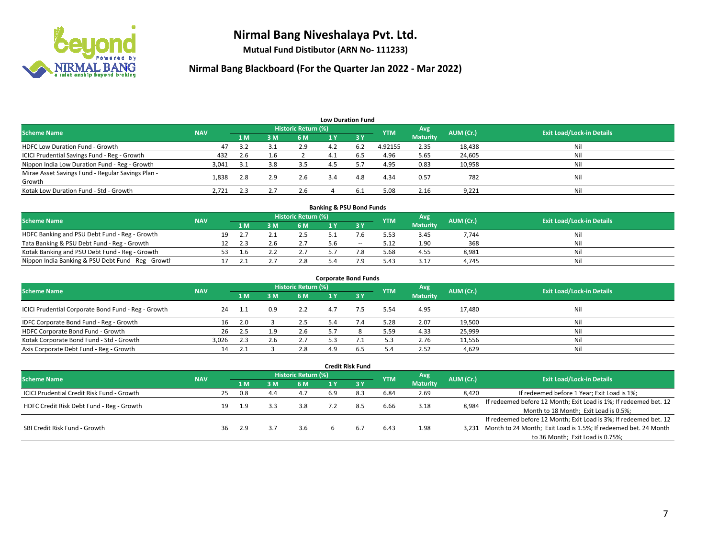

**Mutual Fund Distibutor (ARN No- 111233)**

| <b>Low Duration Fund</b>                          |            |     |              |                     |     |                               |            |                 |           |                                  |  |  |  |
|---------------------------------------------------|------------|-----|--------------|---------------------|-----|-------------------------------|------------|-----------------|-----------|----------------------------------|--|--|--|
| <b>Scheme Name</b>                                | <b>NAV</b> |     |              | Historic Return (%) |     |                               | <b>YTM</b> | Avg             | AUM (Cr.) | <b>Exit Load/Lock-in Details</b> |  |  |  |
|                                                   |            | 1 M | 3M           | 6 M                 | 1 Y | $\overline{3}$ $\overline{V}$ |            | <b>Maturity</b> |           |                                  |  |  |  |
| <b>HDFC Low Duration Fund - Growth</b>            | 47         | 3.2 | 3.1          | 2.9                 | 4.2 | 6.2                           | 4.92155    | 2.35            | 18,438    | Nil                              |  |  |  |
| ICICI Prudential Savings Fund - Reg - Growth      | 432        | 2.6 | 1.6          |                     | 4.1 | 6.5                           | 4.96       | 5.65            | 24,605    | Nil                              |  |  |  |
| Nippon India Low Duration Fund - Reg - Growth     | 3,041      | 3.1 | 3.8          | 3.5                 | 4.5 |                               | 4.95       | 0.83            | 10,958    | Nil                              |  |  |  |
| Mirae Asset Savings Fund - Regular Savings Plan - | 1.838      | 2.8 | 2.9          | 2.6                 | 3.4 | 4.8                           | 4.34       | 0.57            | 782       | Nil                              |  |  |  |
| Growth                                            |            |     |              |                     |     |                               |            |                 |           |                                  |  |  |  |
| Kotak Low Duration Fund - Std - Growth            | 2,721      | 2.3 | $\mathbf{z}$ | 2.6                 |     | 6.3                           | 5.08       | 2.16            | 9,221     | Nil                              |  |  |  |

| <b>Banking &amp; PSU Bond Funds</b>                 |            |    |      |  |                     |     |        |            |                 |           |                                  |  |  |
|-----------------------------------------------------|------------|----|------|--|---------------------|-----|--------|------------|-----------------|-----------|----------------------------------|--|--|
| <b>Scheme Name</b>                                  | <b>NAV</b> |    |      |  | Historic Return (%) |     |        | <b>YTM</b> | Avg             | AUM (Cr.) | <b>Exit Load/Lock-in Details</b> |  |  |
|                                                     |            |    | 1 M. |  | 6 M                 |     |        |            | <b>Maturity</b> |           |                                  |  |  |
| HDFC Banking and PSU Debt Fund - Reg - Growth       |            | 19 |      |  | 2.5                 |     |        | 5.53       | 3.45            | 7.744     | Nil                              |  |  |
| Tata Banking & PSU Debt Fund - Reg - Growth         |            |    |      |  | 2.7                 | ı.h | $\sim$ | 5.12       | 1.90            | 368       | Nil                              |  |  |
| Kotak Banking and PSU Debt Fund - Reg - Growth      |            |    |      |  |                     |     |        | 5.68       | 4.55            | 8,981     | Nil                              |  |  |
| Nippon India Banking & PSU Debt Fund - Reg - Growth |            |    |      |  | 2.8                 |     | חי     | 5.43       | 3.17            | 4.745     | Nil                              |  |  |

| <b>Corporate Bond Funds</b>                         |            |     |     |                            |     |                |            |                        |           |                                  |  |
|-----------------------------------------------------|------------|-----|-----|----------------------------|-----|----------------|------------|------------------------|-----------|----------------------------------|--|
| <b>Scheme Name</b>                                  | <b>NAV</b> |     |     | <b>Historic Return (%)</b> |     |                | <b>YTM</b> | Avg<br><b>Maturity</b> | AUM (Cr.) | <b>Exit Load/Lock-in Details</b> |  |
|                                                     |            | 1 M | 3 M | 6 M                        |     | -3 Y           |            |                        |           |                                  |  |
| ICICI Prudential Corporate Bond Fund - Reg - Growth | 24         | 1.1 | 0.9 | 2.2                        | 4.7 | $^{\prime}$ .5 | 5.54       | 4.95                   | 17,480    | Nil                              |  |
| IDFC Corporate Bond Fund - Reg - Growth             | 16         | 2.0 |     | 2.5                        | 5.4 |                | 5.28       | 2.07                   | 19,500    | Nil                              |  |
| HDFC Corporate Bond Fund - Growth                   | 26         | 2.5 |     | 2.6                        | 5.7 |                | 5.59       | 4.33                   | 25,999    | Nil                              |  |
| Kotak Corporate Bond Fund - Std - Growth            | 3.026      | 2.3 |     | 2.7                        | 52  |                | 5.3        | 2.76                   | 11,556    | Nil                              |  |
| Axis Corporate Debt Fund - Reg - Growth             | 14         |     |     | 2.8                        | 4.9 | 6.5            | 5.4        | 2.52                   | 4,629     | Nil                              |  |

|                                            |            |                     |     |     |     |     | <b>Credit Risk Fund</b> |            |                 |           |                                                                       |
|--------------------------------------------|------------|---------------------|-----|-----|-----|-----|-------------------------|------------|-----------------|-----------|-----------------------------------------------------------------------|
| <b>Scheme Name</b>                         | <b>NAV</b> | Historic Return (%) |     |     |     |     |                         |            | Avg             | AUM (Cr.) | <b>Exit Load/Lock-in Details</b>                                      |
|                                            |            |                     | 1 M | ያ M | 6 M | 1 Y | <b>3Y</b>               | <b>YTM</b> | <b>Maturity</b> |           |                                                                       |
| ICICI Prudential Credit Risk Fund - Growth |            | 25                  | 0.8 | 4.4 | 4.7 | 6.9 | 8.3                     | 6.84       | 2.69            | 8,420     | If redeemed before 1 Year; Exit Load is 1%;                           |
| HDFC Credit Risk Debt Fund - Reg - Growth  |            | 19                  | 1.9 |     | 3.8 |     | 8.5                     | 6.66       | 3.18            | 8,984     | If redeemed before 12 Month; Exit Load is 1%; If redeemed bet. 12     |
|                                            |            |                     |     |     |     |     |                         |            |                 |           | Month to 18 Month; Exit Load is 0.5%;                                 |
| SBI Credit Risk Fund - Growth              |            |                     |     |     |     |     |                         |            |                 |           | If redeemed before 12 Month; Exit Load is 3%; If redeemed bet. 12     |
|                                            |            | 36                  | 2.9 |     | 3.6 |     | 6.7                     | 6.43       | 1.98            |           | 3,231 Month to 24 Month; Exit Load is 1.5%; If redeemed bet. 24 Month |
|                                            |            |                     |     |     |     |     |                         |            |                 |           | to 36 Month; Exit Load is 0.75%;                                      |